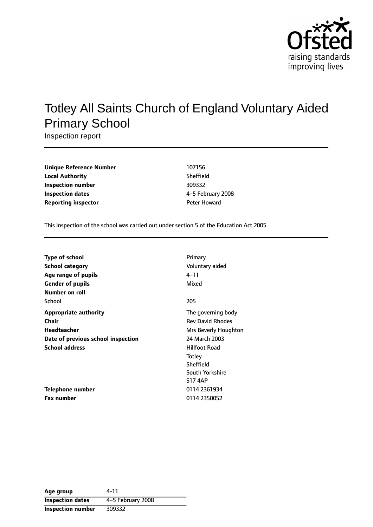

# Totley All Saints Church of England Voluntary Aided Primary School

Inspection report

| 107156       |
|--------------|
| Sheffield    |
| 309332       |
| 4-5 February |
| Peter Howard |
|              |

**Unique Reference Number** 107156 **Sheffield Inspection number** 309332 **Inspection dates** 45 February 2008

This inspection of the school was carried out under section 5 of the Education Act 2005.

| <b>Type of school</b>              | Primary                 |
|------------------------------------|-------------------------|
| <b>School category</b>             | Voluntary aided         |
| Age range of pupils                | $4 - 11$                |
| <b>Gender of pupils</b>            | Mixed                   |
| Number on roll                     |                         |
| School                             | 205                     |
| <b>Appropriate authority</b>       | The governing body      |
| Chair                              | <b>Rev David Rhodes</b> |
| <b>Headteacher</b>                 | Mrs Beverly Houghton    |
| Date of previous school inspection | 24 March 2003           |
| <b>School address</b>              | <b>Hillfoot Road</b>    |
|                                    | Totley                  |
|                                    | Sheffield               |
|                                    | South Yorkshire         |
|                                    | <b>S17 4AP</b>          |
| Telephone number                   | 0114 2361934            |
| Fax number                         | 0114 2350052            |

| Age group               | 4-11              |
|-------------------------|-------------------|
| <b>Inspection dates</b> | 4-5 February 2008 |
| Inspection number       | 309332            |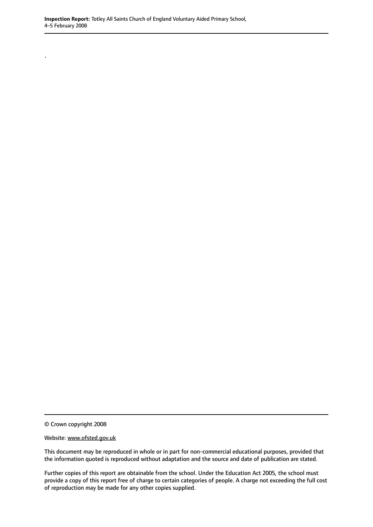© Crown copyright 2008

.

Website: www.ofsted.gov.uk

This document may be reproduced in whole or in part for non-commercial educational purposes, provided that the information quoted is reproduced without adaptation and the source and date of publication are stated.

Further copies of this report are obtainable from the school. Under the Education Act 2005, the school must provide a copy of this report free of charge to certain categories of people. A charge not exceeding the full cost of reproduction may be made for any other copies supplied.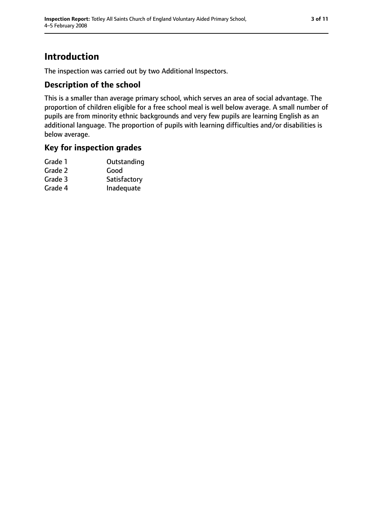## **Introduction**

The inspection was carried out by two Additional Inspectors.

### **Description of the school**

This is a smaller than average primary school, which serves an area of social advantage. The proportion of children eligible for a free school meal is well below average. A small number of pupils are from minority ethnic backgrounds and very few pupils are learning English as an additional language. The proportion of pupils with learning difficulties and/or disabilities is below average.

#### **Key for inspection grades**

| Outstanding  |
|--------------|
| Good         |
| Satisfactory |
| Inadequate   |
|              |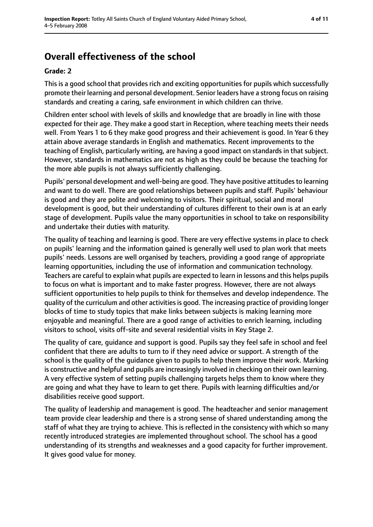## **Overall effectiveness of the school**

#### **Grade: 2**

This is a good school that provides rich and exciting opportunities for pupils which successfully promote their learning and personal development. Senior leaders have a strong focus on raising standards and creating a caring, safe environment in which children can thrive.

Children enter school with levels of skills and knowledge that are broadly in line with those expected for their age. They make a good start in Reception, where teaching meets their needs well. From Years 1 to 6 they make good progress and their achievement is good. In Year 6 they attain above average standards in English and mathematics. Recent improvements to the teaching of English, particularly writing, are having a good impact on standards in that subject. However, standards in mathematics are not as high as they could be because the teaching for the more able pupils is not always sufficiently challenging.

Pupils' personal development and well-being are good. They have positive attitudes to learning and want to do well. There are good relationships between pupils and staff. Pupils' behaviour is good and they are polite and welcoming to visitors. Their spiritual, social and moral development is good, but their understanding of cultures different to their own is at an early stage of development. Pupils value the many opportunities in school to take on responsibility and undertake their duties with maturity.

The quality of teaching and learning is good. There are very effective systems in place to check on pupils' learning and the information gained is generally well used to plan work that meets pupils' needs. Lessons are well organised by teachers, providing a good range of appropriate learning opportunities, including the use of information and communication technology. Teachers are careful to explain what pupils are expected to learn in lessons and this helps pupils to focus on what is important and to make faster progress. However, there are not always sufficient opportunities to help pupils to think for themselves and develop independence. The quality of the curriculum and other activities is good. The increasing practice of providing longer blocks of time to study topics that make links between subjects is making learning more enjoyable and meaningful. There are a good range of activities to enrich learning, including visitors to school, visits off-site and several residential visits in Key Stage 2.

The quality of care, guidance and support is good. Pupils say they feel safe in school and feel confident that there are adults to turn to if they need advice or support. A strength of the school is the quality of the guidance given to pupils to help them improve their work. Marking is constructive and helpful and pupils are increasingly involved in checking on their own learning. A very effective system of setting pupils challenging targets helps them to know where they are going and what they have to learn to get there. Pupils with learning difficulties and/or disabilities receive good support.

The quality of leadership and management is good. The headteacher and senior management team provide clear leadership and there is a strong sense of shared understanding among the staff of what they are trying to achieve. This is reflected in the consistency with which so many recently introduced strategies are implemented throughout school. The school has a good understanding of its strengths and weaknesses and a good capacity for further improvement. It gives good value for money.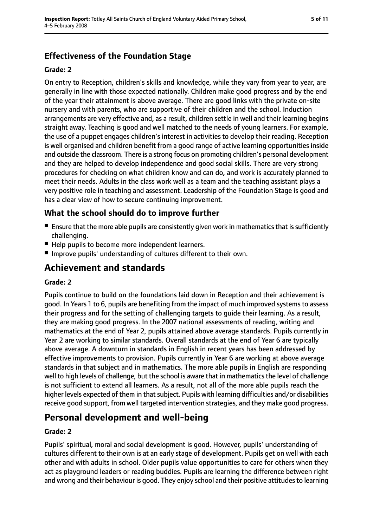### **Effectiveness of the Foundation Stage**

#### **Grade: 2**

On entry to Reception, children's skills and knowledge, while they vary from year to year, are generally in line with those expected nationally. Children make good progress and by the end of the year their attainment is above average. There are good links with the private on-site nursery and with parents, who are supportive of their children and the school. Induction arrangements are very effective and, as a result, children settle in well and their learning begins straight away. Teaching is good and well matched to the needs of young learners. For example, the use of a puppet engages children's interest in activities to develop their reading. Reception is well organised and children benefit from a good range of active learning opportunities inside and outside the classroom. There is a strong focus on promoting children's personal development and they are helped to develop independence and good social skills. There are very strong procedures for checking on what children know and can do, and work is accurately planned to meet their needs. Adults in the class work well as a team and the teaching assistant plays a very positive role in teaching and assessment. Leadership of the Foundation Stage is good and has a clear view of how to secure continuing improvement.

#### **What the school should do to improve further**

- $\blacksquare$  Ensure that the more able pupils are consistently given work in mathematics that is sufficiently challenging.
- Help pupils to become more independent learners.
- Improve pupils' understanding of cultures different to their own.

## **Achievement and standards**

#### **Grade: 2**

Pupils continue to build on the foundations laid down in Reception and their achievement is good. In Years 1 to 6, pupils are benefiting from the impact of much improved systems to assess their progress and for the setting of challenging targets to guide their learning. As a result, they are making good progress. In the 2007 national assessments of reading, writing and mathematics at the end of Year 2, pupils attained above average standards. Pupils currently in Year 2 are working to similar standards. Overall standards at the end of Year 6 are typically above average. A downturn in standards in English in recent years has been addressed by effective improvements to provision. Pupils currently in Year 6 are working at above average standards in that subject and in mathematics. The more able pupils in English are responding well to high levels of challenge, but the school is aware that in mathematics the level of challenge is not sufficient to extend all learners. As a result, not all of the more able pupils reach the higher levels expected of them in that subject. Pupils with learning difficulties and/or disabilities receive good support, from well targeted intervention strategies, and they make good progress.

## **Personal development and well-being**

#### **Grade: 2**

Pupils' spiritual, moral and social development is good. However, pupils' understanding of cultures different to their own is at an early stage of development. Pupils get on well with each other and with adults in school. Older pupils value opportunities to care for others when they act as playground leaders or reading buddies. Pupils are learning the difference between right and wrong and their behaviour is good. They enjoy school and their positive attitudes to learning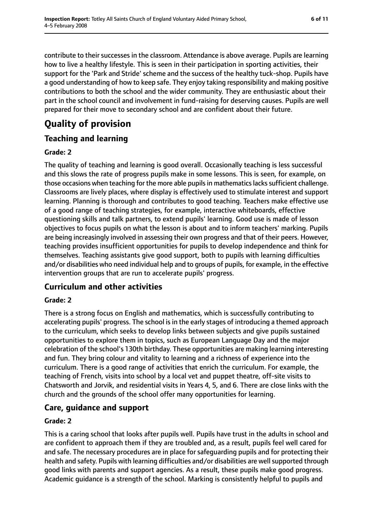contribute to their successes in the classroom. Attendance is above average. Pupils are learning how to live a healthy lifestyle. This is seen in their participation in sporting activities, their support for the 'Park and Stride' scheme and the success of the healthy tuck-shop. Pupils have a good understanding of how to keep safe. They enjoy taking responsibility and making positive contributions to both the school and the wider community. They are enthusiastic about their part in the school council and involvement in fund-raising for deserving causes. Pupils are well prepared for their move to secondary school and are confident about their future.

## **Quality of provision**

## **Teaching and learning**

#### **Grade: 2**

The quality of teaching and learning is good overall. Occasionally teaching is less successful and this slows the rate of progress pupils make in some lessons. This is seen, for example, on those occasions when teaching for the more able pupils in mathematics lacks sufficient challenge. Classrooms are lively places, where display is effectively used to stimulate interest and support learning. Planning is thorough and contributes to good teaching. Teachers make effective use of a good range of teaching strategies, for example, interactive whiteboards, effective questioning skills and talk partners, to extend pupils' learning. Good use is made of lesson objectives to focus pupils on what the lesson is about and to inform teachers' marking. Pupils are being increasingly involved in assessing their own progress and that of their peers. However, teaching provides insufficient opportunities for pupils to develop independence and think for themselves. Teaching assistants give good support, both to pupils with learning difficulties and/or disabilities who need individual help and to groups of pupils, for example, in the effective intervention groups that are run to accelerate pupils' progress.

## **Curriculum and other activities**

#### **Grade: 2**

There is a strong focus on English and mathematics, which is successfully contributing to accelerating pupils' progress. The school is in the early stages of introducing a themed approach to the curriculum, which seeks to develop links between subjects and give pupils sustained opportunities to explore them in topics, such as European Language Day and the major celebration of the school's 130th birthday. These opportunities are making learning interesting and fun. They bring colour and vitality to learning and a richness of experience into the curriculum. There is a good range of activities that enrich the curriculum. For example, the teaching of French, visits into school by a local vet and puppet theatre, off-site visits to Chatsworth and Jorvik, and residential visits in Years 4, 5, and 6. There are close links with the church and the grounds of the school offer many opportunities for learning.

## **Care, guidance and support**

#### **Grade: 2**

This is a caring school that looks after pupils well. Pupils have trust in the adults in school and are confident to approach them if they are troubled and, as a result, pupils feel well cared for and safe. The necessary procedures are in place for safeguarding pupils and for protecting their health and safety. Pupils with learning difficulties and/or disabilities are well supported through good links with parents and support agencies. As a result, these pupils make good progress. Academic guidance is a strength of the school. Marking is consistently helpful to pupils and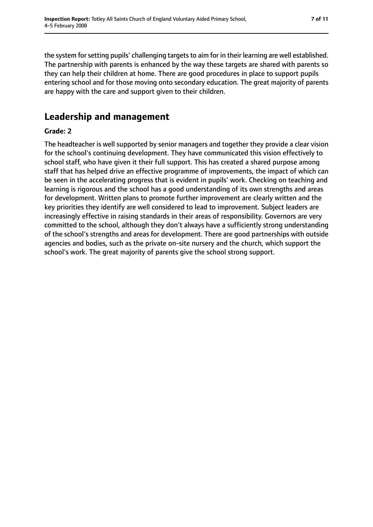the system for setting pupils' challenging targets to aim for in their learning are well established. The partnership with parents is enhanced by the way these targets are shared with parents so they can help their children at home. There are good procedures in place to support pupils entering school and for those moving onto secondary education. The great majority of parents are happy with the care and support given to their children.

## **Leadership and management**

#### **Grade: 2**

The headteacher is well supported by senior managers and together they provide a clear vision for the school's continuing development. They have communicated this vision effectively to school staff, who have given it their full support. This has created a shared purpose among staff that has helped drive an effective programme of improvements, the impact of which can be seen in the accelerating progress that is evident in pupils' work. Checking on teaching and learning is rigorous and the school has a good understanding of its own strengths and areas for development. Written plans to promote further improvement are clearly written and the key priorities they identify are well considered to lead to improvement. Subject leaders are increasingly effective in raising standards in their areas of responsibility. Governors are very committed to the school, although they don't always have a sufficiently strong understanding of the school's strengths and areas for development. There are good partnerships with outside agencies and bodies, such as the private on-site nursery and the church, which support the school's work. The great majority of parents give the school strong support.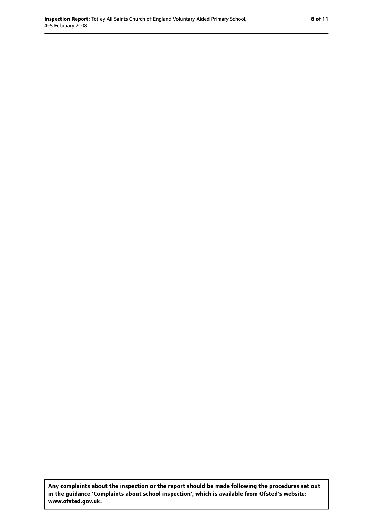**Any complaints about the inspection or the report should be made following the procedures set out in the guidance 'Complaints about school inspection', which is available from Ofsted's website: www.ofsted.gov.uk.**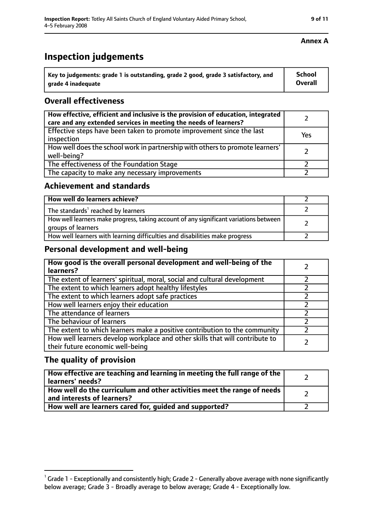## **Inspection judgements**

| $^{\cdot}$ Key to judgements: grade 1 is outstanding, grade 2 good, grade 3 satisfactory, and | School         |
|-----------------------------------------------------------------------------------------------|----------------|
| arade 4 inadequate                                                                            | <b>Overall</b> |

#### **Overall effectiveness**

| How effective, efficient and inclusive is the provision of education, integrated<br>care and any extended services in meeting the needs of learners? |     |
|------------------------------------------------------------------------------------------------------------------------------------------------------|-----|
| Effective steps have been taken to promote improvement since the last<br>inspection                                                                  | Yes |
| How well does the school work in partnership with others to promote learners'<br>well-being?                                                         |     |
| The effectiveness of the Foundation Stage                                                                                                            |     |
| The capacity to make any necessary improvements                                                                                                      |     |

#### **Achievement and standards**

| How well do learners achieve?                                                                               |  |
|-------------------------------------------------------------------------------------------------------------|--|
| The standards <sup>1</sup> reached by learners                                                              |  |
| How well learners make progress, taking account of any significant variations between<br>groups of learners |  |
| How well learners with learning difficulties and disabilities make progress                                 |  |

#### **Personal development and well-being**

| How good is the overall personal development and well-being of the<br>learners?                                  |  |
|------------------------------------------------------------------------------------------------------------------|--|
| The extent of learners' spiritual, moral, social and cultural development                                        |  |
| The extent to which learners adopt healthy lifestyles                                                            |  |
| The extent to which learners adopt safe practices                                                                |  |
| How well learners enjoy their education                                                                          |  |
| The attendance of learners                                                                                       |  |
| The behaviour of learners                                                                                        |  |
| The extent to which learners make a positive contribution to the community                                       |  |
| How well learners develop workplace and other skills that will contribute to<br>their future economic well-being |  |

#### **The quality of provision**

| How effective are teaching and learning in meeting the full range of the<br>learners' needs?          |  |
|-------------------------------------------------------------------------------------------------------|--|
| How well do the curriculum and other activities meet the range of needs<br>and interests of learners? |  |
| How well are learners cared for, guided and supported?                                                |  |

#### **Annex A**

 $^1$  Grade 1 - Exceptionally and consistently high; Grade 2 - Generally above average with none significantly below average; Grade 3 - Broadly average to below average; Grade 4 - Exceptionally low.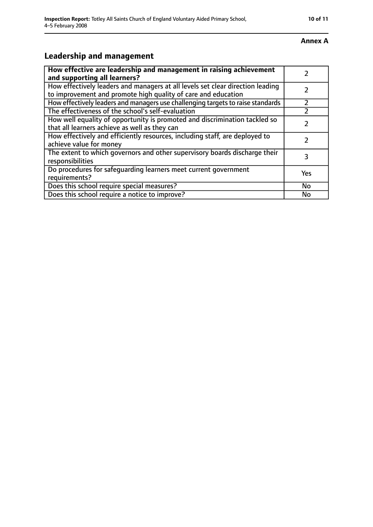#### **Annex A**

## **Leadership and management**

| How effective are leadership and management in raising achievement<br>and supporting all learners?                                              |     |
|-------------------------------------------------------------------------------------------------------------------------------------------------|-----|
| How effectively leaders and managers at all levels set clear direction leading<br>to improvement and promote high quality of care and education |     |
| How effectively leaders and managers use challenging targets to raise standards                                                                 |     |
| The effectiveness of the school's self-evaluation                                                                                               |     |
| How well equality of opportunity is promoted and discrimination tackled so<br>that all learners achieve as well as they can                     |     |
| How effectively and efficiently resources, including staff, are deployed to<br>achieve value for money                                          | 7   |
| The extent to which governors and other supervisory boards discharge their<br>responsibilities                                                  | 3   |
| Do procedures for safequarding learners meet current government<br>requirements?                                                                | Yes |
| Does this school require special measures?                                                                                                      | No  |
| Does this school require a notice to improve?                                                                                                   | No  |